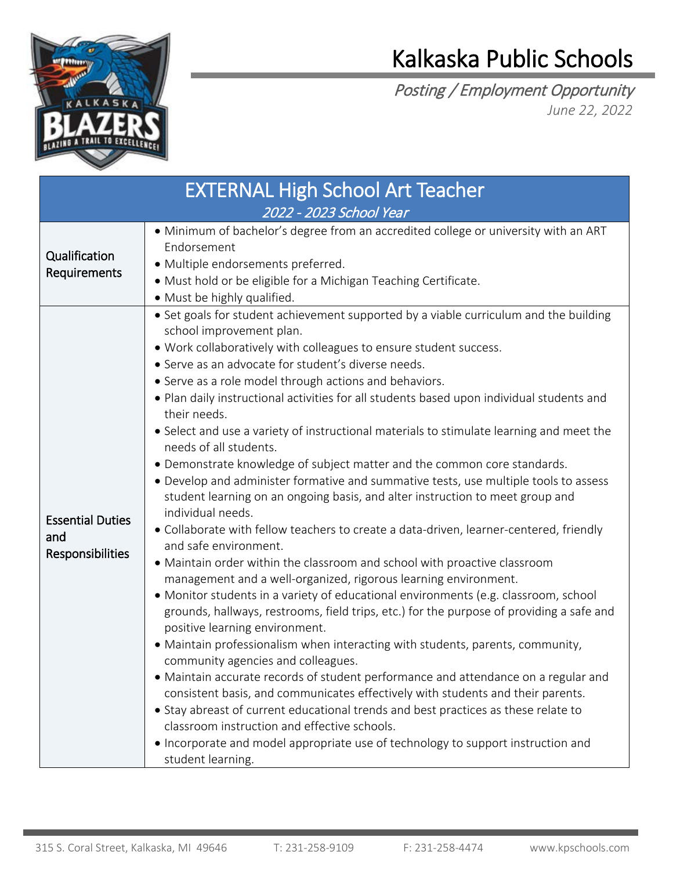

## Kalkaska Public Schools

Posting / Employment Opportunity *June 22, 2022*

| <b>EXTERNAL High School Art Teacher</b>            |                                                                                                                                                                                                                                                                                                                                                                                                                                                                                                                                                                                                                                                                                                                                                                                                                                                                                                                                                                                                                                                                                                                                                                                                                                                                                                                                                                                                                                                                                                                                                                                                                                                                                                                                                                                                                                                              |  |  |
|----------------------------------------------------|--------------------------------------------------------------------------------------------------------------------------------------------------------------------------------------------------------------------------------------------------------------------------------------------------------------------------------------------------------------------------------------------------------------------------------------------------------------------------------------------------------------------------------------------------------------------------------------------------------------------------------------------------------------------------------------------------------------------------------------------------------------------------------------------------------------------------------------------------------------------------------------------------------------------------------------------------------------------------------------------------------------------------------------------------------------------------------------------------------------------------------------------------------------------------------------------------------------------------------------------------------------------------------------------------------------------------------------------------------------------------------------------------------------------------------------------------------------------------------------------------------------------------------------------------------------------------------------------------------------------------------------------------------------------------------------------------------------------------------------------------------------------------------------------------------------------------------------------------------------|--|--|
| 2022 - 2023 School Year                            |                                                                                                                                                                                                                                                                                                                                                                                                                                                                                                                                                                                                                                                                                                                                                                                                                                                                                                                                                                                                                                                                                                                                                                                                                                                                                                                                                                                                                                                                                                                                                                                                                                                                                                                                                                                                                                                              |  |  |
| Qualification<br>Requirements                      | • Minimum of bachelor's degree from an accredited college or university with an ART<br>Endorsement<br>· Multiple endorsements preferred.<br>· Must hold or be eligible for a Michigan Teaching Certificate.<br>· Must be highly qualified.                                                                                                                                                                                                                                                                                                                                                                                                                                                                                                                                                                                                                                                                                                                                                                                                                                                                                                                                                                                                                                                                                                                                                                                                                                                                                                                                                                                                                                                                                                                                                                                                                   |  |  |
| <b>Essential Duties</b><br>and<br>Responsibilities | • Set goals for student achievement supported by a viable curriculum and the building<br>school improvement plan.<br>. Work collaboratively with colleagues to ensure student success.<br>• Serve as an advocate for student's diverse needs.<br>• Serve as a role model through actions and behaviors.<br>. Plan daily instructional activities for all students based upon individual students and<br>their needs.<br>• Select and use a variety of instructional materials to stimulate learning and meet the<br>needs of all students.<br>• Demonstrate knowledge of subject matter and the common core standards.<br>• Develop and administer formative and summative tests, use multiple tools to assess<br>student learning on an ongoing basis, and alter instruction to meet group and<br>individual needs.<br>• Collaborate with fellow teachers to create a data-driven, learner-centered, friendly<br>and safe environment.<br>• Maintain order within the classroom and school with proactive classroom<br>management and a well-organized, rigorous learning environment.<br>• Monitor students in a variety of educational environments (e.g. classroom, school<br>grounds, hallways, restrooms, field trips, etc.) for the purpose of providing a safe and<br>positive learning environment.<br>• Maintain professionalism when interacting with students, parents, community,<br>community agencies and colleagues.<br>· Maintain accurate records of student performance and attendance on a regular and<br>consistent basis, and communicates effectively with students and their parents.<br>• Stay abreast of current educational trends and best practices as these relate to<br>classroom instruction and effective schools.<br>• Incorporate and model appropriate use of technology to support instruction and<br>student learning. |  |  |